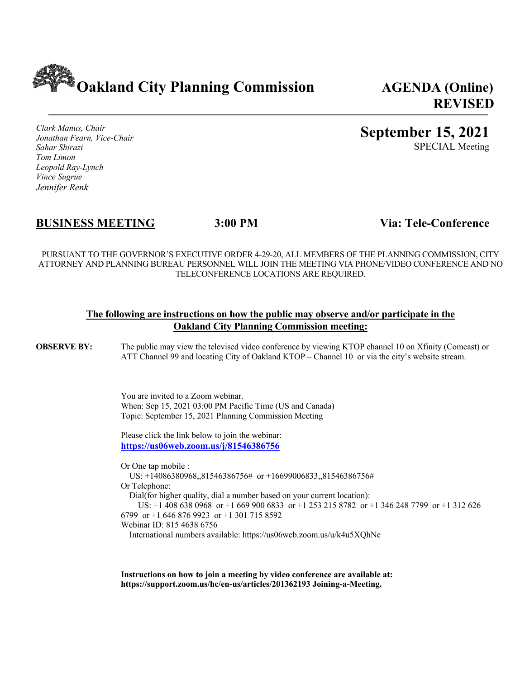**Oakland City Planning Commission AGENDA (Online)**

**REVISED**

*Clark Manus, Chair Jonathan Fearn, Vice-Chair Sahar Shirazi Tom Limon Leopold Ray-Lynch Vince Sugrue Jennifer Renk*

# **September 15, 2021**

SPECIAL Meeting

# **BUSINESS MEETING 3:00 PM Via: Tele-Conference**

PURSUANT TO THE GOVERNOR'S EXECUTIVE ORDER 4-29-20, ALL MEMBERS OF THE PLANNING COMMISSION, CITY ATTORNEY AND PLANNING BUREAU PERSONNEL WILL JOIN THE MEETING VIA PHONE/VIDEO CONFERENCE AND NO TELECONFERENCE LOCATIONS ARE REQUIRED.

#### **The following are instructions on how the public may observe and/or participate in the Oakland City Planning Commission meeting:**

**OBSERVE BY:** The public may view the televised video conference by viewing KTOP channel 10 on Xfinity (Comcast) or ATT Channel 99 and locating City of Oakland KTOP – Channel 10 or via the city's website stream.

> You are invited to a Zoom webinar. When: Sep 15, 2021 03:00 PM Pacific Time (US and Canada) Topic: September 15, 2021 Planning Commission Meeting

Please click the link below to join the webinar: **https://us06web.zoom.us/j/81546386756**

Or One tap mobile : US: +14086380968,,81546386756# or +16699006833,,81546386756# Or Telephone: Dial(for higher quality, dial a number based on your current location): US: +1 408 638 0968 or +1 669 900 6833 or +1 253 215 8782 or +1 346 248 7799 or +1 312 626 6799 or +1 646 876 9923 or +1 301 715 8592 Webinar ID: 815 4638 6756

International numbers available: https://us06web.zoom.us/u/k4u5XQhNe

**Instructions on how to join a meeting by video conference are available at: https://support.zoom.us/hc/en-us/articles/201362193 Joining-a-Meeting.**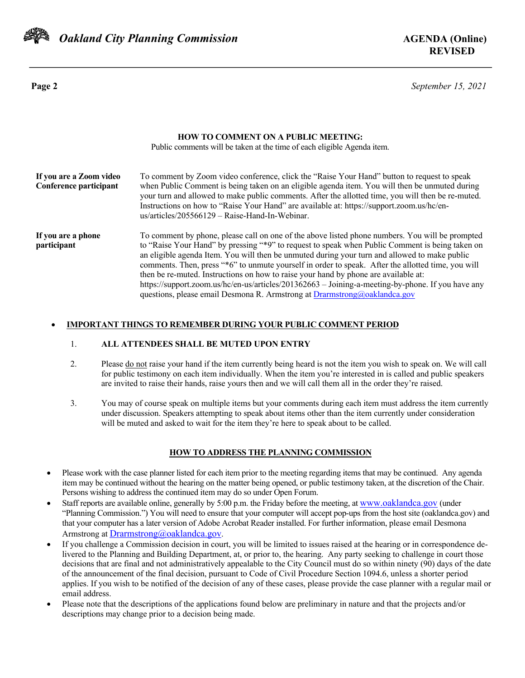

 *Oakland City Planning Commission* **AGENDA (Online)**

**Page 2** *September 15, 2021*

| <b>HOW TO COMMENT ON A PUBLIC MEETING:</b><br>Public comments will be taken at the time of each eligible Agenda item. |                                                                                                                                                                                                                                                                                                                                                                                                                                                                                                                                                                                                                                                                                        |  |
|-----------------------------------------------------------------------------------------------------------------------|----------------------------------------------------------------------------------------------------------------------------------------------------------------------------------------------------------------------------------------------------------------------------------------------------------------------------------------------------------------------------------------------------------------------------------------------------------------------------------------------------------------------------------------------------------------------------------------------------------------------------------------------------------------------------------------|--|
| If you are a Zoom video<br>Conference participant                                                                     | To comment by Zoom video conference, click the "Raise Your Hand" button to request to speak<br>when Public Comment is being taken on an eligible agenda item. You will then be unmuted during<br>your turn and allowed to make public comments. After the allotted time, you will then be re-muted.<br>Instructions on how to "Raise Your Hand" are available at: https://support.zoom.us/hc/en-<br>$us/articles/205566129 - Raise-Hand-In-Webinar.$                                                                                                                                                                                                                                   |  |
| If you are a phone<br>participant                                                                                     | To comment by phone, please call on one of the above listed phone numbers. You will be prompted<br>to "Raise Your Hand" by pressing "*9" to request to speak when Public Comment is being taken on<br>an eligible agenda Item. You will then be unmuted during your turn and allowed to make public<br>comments. Then, press "*6" to unmute yourself in order to speak. After the allotted time, you will<br>then be re-muted. Instructions on how to raise your hand by phone are available at:<br>https://support.zoom.us/hc/en-us/articles/201362663 - Joining-a-meeting-by-phone. If you have any<br>questions, please email Desmona R. Armstrong at $Dramstrong(a) oaklandca.gov$ |  |

#### • **IMPORTANT THINGS TO REMEMBER DURING YOUR PUBLIC COMMENT PERIOD**

#### 1. **ALL ATTENDEES SHALL BE MUTED UPON ENTRY**

- 2. Please do not raise your hand if the item currently being heard is not the item you wish to speak on. We will call for public testimony on each item individually. When the item you're interested in is called and public speakers are invited to raise their hands, raise yours then and we will call them all in the order they're raised.
- 3. You may of course speak on multiple items but your comments during each item must address the item currently under discussion. Speakers attempting to speak about items other than the item currently under consideration will be muted and asked to wait for the item they're here to speak about to be called.

#### **HOW TO ADDRESS THE PLANNING COMMISSION**

- Please work with the case planner listed for each item prior to the meeting regarding items that may be continued. Any agenda item may be continued without the hearing on the matter being opened, or public testimony taken, at the discretion of the Chair. Persons wishing to address the continued item may do so under Open Forum.
- Staff reports are available online, generally by 5:00 p.m. the Friday before the meeting, at www.oaklandca.gov (under "Planning Commission.") You will need to ensure that your computer will accept pop-ups from the host site (oaklandca.gov) and that your computer has a later version of Adobe Acrobat Reader installed. For further information, please email Desmona Armstrong at Drarmstrong@oaklandca.gov.
- If you challenge a Commission decision in court, you will be limited to issues raised at the hearing or in correspondence delivered to the Planning and Building Department, at, or prior to, the hearing. Any party seeking to challenge in court those decisions that are final and not administratively appealable to the City Council must do so within ninety (90) days of the date of the announcement of the final decision, pursuant to Code of Civil Procedure Section 1094.6, unless a shorter period applies. If you wish to be notified of the decision of any of these cases, please provide the case planner with a regular mail or email address.
- Please note that the descriptions of the applications found below are preliminary in nature and that the projects and/or descriptions may change prior to a decision being made.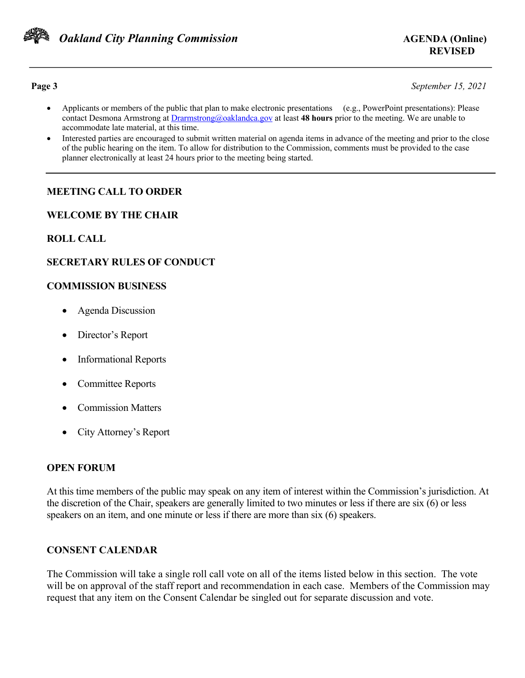

**Page 3** *September 15, 2021*

- Applicants or members of the public that plan to make electronic presentations (e.g., PowerPoint presentations): Please contact Desmona Armstrong at Drarmstrong@oaklandca.gov at least **48 hours** prior to the meeting. We are unable to accommodate late material, at this time.
- Interested parties are encouraged to submit written material on agenda items in advance of the meeting and prior to the close of the public hearing on the item. To allow for distribution to the Commission, comments must be provided to the case planner electronically at least 24 hours prior to the meeting being started.

# **MEETING CALL TO ORDER**

#### **WELCOME BY THE CHAIR**

## **ROLL CALL**

## **SECRETARY RULES OF CONDUCT**

#### **COMMISSION BUSINESS**

- Agenda Discussion
- Director's Report
- Informational Reports
- Committee Reports
- Commission Matters
- City Attorney's Report

#### **OPEN FORUM**

At this time members of the public may speak on any item of interest within the Commission's jurisdiction. At the discretion of the Chair, speakers are generally limited to two minutes or less if there are six (6) or less speakers on an item, and one minute or less if there are more than six (6) speakers.

## **CONSENT CALENDAR**

The Commission will take a single roll call vote on all of the items listed below in this section. The vote will be on approval of the staff report and recommendation in each case. Members of the Commission may request that any item on the Consent Calendar be singled out for separate discussion and vote.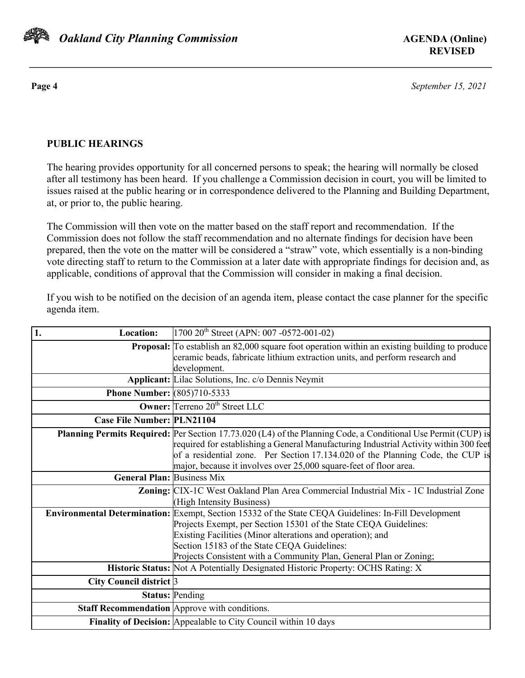

**Page 4** *September 15, 2021*

# **PUBLIC HEARINGS**

The hearing provides opportunity for all concerned persons to speak; the hearing will normally be closed after all testimony has been heard. If you challenge a Commission decision in court, you will be limited to issues raised at the public hearing or in correspondence delivered to the Planning and Building Department, at, or prior to, the public hearing.

The Commission will then vote on the matter based on the staff report and recommendation. If the Commission does not follow the staff recommendation and no alternate findings for decision have been prepared, then the vote on the matter will be considered a "straw" vote, which essentially is a non-binding vote directing staff to return to the Commission at a later date with appropriate findings for decision and, as applicable, conditions of approval that the Commission will consider in making a final decision.

If you wish to be notified on the decision of an agenda item, please contact the case planner for the specific agenda item.

| 1.<br><b>Location:</b>             | $1700 20$ <sup>th</sup> Street (APN: 007 -0572-001-02)                                                        |
|------------------------------------|---------------------------------------------------------------------------------------------------------------|
|                                    | <b>Proposal:</b> To establish an 82,000 square foot operation within an existing building to produce          |
|                                    | ceramic beads, fabricate lithium extraction units, and perform research and                                   |
|                                    | development.                                                                                                  |
|                                    | <b>Applicant:</b> Lilac Solutions, Inc. c/o Dennis Neymit                                                     |
| <b>Phone Number:</b> (805)710-5333 |                                                                                                               |
|                                    | <b>Owner:</b> Terreno 20 <sup>th</sup> Street LLC                                                             |
| <b>Case File Number: PLN21104</b>  |                                                                                                               |
|                                    | Planning Permits Required: Per Section 17.73.020 (L4) of the Planning Code, a Conditional Use Permit (CUP) is |
|                                    | required for establishing a General Manufacturing Industrial Activity within 300 feet                         |
|                                    | of a residential zone. Per Section 17.134.020 of the Planning Code, the CUP is                                |
|                                    | major, because it involves over 25,000 square-feet of floor area.                                             |
| <b>General Plan: Business Mix</b>  |                                                                                                               |
|                                    | Zoning: CIX-1C West Oakland Plan Area Commercial Industrial Mix - 1C Industrial Zone                          |
|                                    | (High Intensity Business)                                                                                     |
|                                    | Environmental Determination: Exempt, Section 15332 of the State CEQA Guidelines: In-Fill Development          |
|                                    | Projects Exempt, per Section 15301 of the State CEQA Guidelines:                                              |
|                                    | Existing Facilities (Minor alterations and operation); and                                                    |
|                                    | Section 15183 of the State CEQA Guidelines:                                                                   |
|                                    | Projects Consistent with a Community Plan, General Plan or Zoning;                                            |
|                                    | Historic Status: Not A Potentially Designated Historic Property: OCHS Rating: X                               |
| City Council district 3            |                                                                                                               |
|                                    | <b>Status: Pending</b>                                                                                        |
|                                    | Staff Recommendation Approve with conditions.                                                                 |
|                                    | Finality of Decision: Appealable to City Council within 10 days                                               |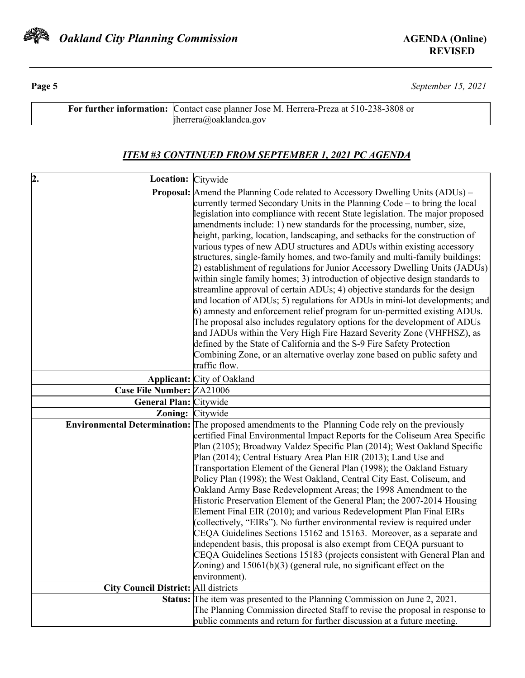

**Page 5** *September 15, 2021*

| For further information: Contact case planner Jose M. Herrera-Preza at 510-238-3808 or |
|----------------------------------------------------------------------------------------|
| $\text{h}$ errera@oaklandca.gov                                                        |

# *ITEM #3 CONTINUED FROM SEPTEMBER 1, 2021 PC AGENDA*

| 2.<br>Location: Citywide                    |                                                                                                                                                    |
|---------------------------------------------|----------------------------------------------------------------------------------------------------------------------------------------------------|
|                                             | <b>Proposal:</b> Amend the Planning Code related to Accessory Dwelling Units (ADUs) –                                                              |
|                                             | currently termed Secondary Units in the Planning Code – to bring the local                                                                         |
|                                             | legislation into compliance with recent State legislation. The major proposed                                                                      |
|                                             | amendments include: 1) new standards for the processing, number, size,                                                                             |
|                                             | height, parking, location, landscaping, and setbacks for the construction of                                                                       |
|                                             | various types of new ADU structures and ADUs within existing accessory                                                                             |
|                                             | structures, single-family homes, and two-family and multi-family buildings;                                                                        |
|                                             | 2) establishment of regulations for Junior Accessory Dwelling Units (JADUs)                                                                        |
|                                             | within single family homes; 3) introduction of objective design standards to                                                                       |
|                                             | streamline approval of certain ADUs; 4) objective standards for the design                                                                         |
|                                             | and location of ADUs; 5) regulations for ADUs in mini-lot developments; and                                                                        |
|                                             | 6) amnesty and enforcement relief program for un-permitted existing ADUs.                                                                          |
|                                             | The proposal also includes regulatory options for the development of ADUs<br>and JADUs within the Very High Fire Hazard Severity Zone (VHFHSZ), as |
|                                             | defined by the State of California and the S-9 Fire Safety Protection                                                                              |
|                                             | Combining Zone, or an alternative overlay zone based on public safety and                                                                          |
|                                             | traffic flow.                                                                                                                                      |
|                                             | <b>Applicant:</b> City of Oakland                                                                                                                  |
| <b>Case File Number: ZA21006</b>            |                                                                                                                                                    |
| <b>General Plan: Citywide</b>               |                                                                                                                                                    |
| <b>Zoning:</b> Citywide                     |                                                                                                                                                    |
|                                             | <b>Environmental Determination:</b> The proposed amendments to the Planning Code rely on the previously                                            |
|                                             | certified Final Environmental Impact Reports for the Coliseum Area Specific                                                                        |
|                                             | Plan (2105); Broadway Valdez Specific Plan (2014); West Oakland Specific                                                                           |
|                                             | Plan (2014); Central Estuary Area Plan EIR (2013); Land Use and                                                                                    |
|                                             | Transportation Element of the General Plan (1998); the Oakland Estuary                                                                             |
|                                             | Policy Plan (1998); the West Oakland, Central City East, Coliseum, and                                                                             |
|                                             | Oakland Army Base Redevelopment Areas; the 1998 Amendment to the                                                                                   |
|                                             | Historic Preservation Element of the General Plan; the 2007-2014 Housing                                                                           |
|                                             | Element Final EIR (2010); and various Redevelopment Plan Final EIRs                                                                                |
|                                             | (collectively, "EIRs"). No further environmental review is required under<br>CEQA Guidelines Sections 15162 and 15163. Moreover, as a separate and |
|                                             | independent basis, this proposal is also exempt from CEQA pursuant to                                                                              |
|                                             | CEQA Guidelines Sections 15183 (projects consistent with General Plan and                                                                          |
|                                             | Zoning) and $15061(b)(3)$ (general rule, no significant effect on the                                                                              |
|                                             | environment).                                                                                                                                      |
| <b>City Council District: All districts</b> |                                                                                                                                                    |
|                                             | Status: The item was presented to the Planning Commission on June 2, 2021.                                                                         |
|                                             | The Planning Commission directed Staff to revise the proposal in response to                                                                       |
|                                             | public comments and return for further discussion at a future meeting.                                                                             |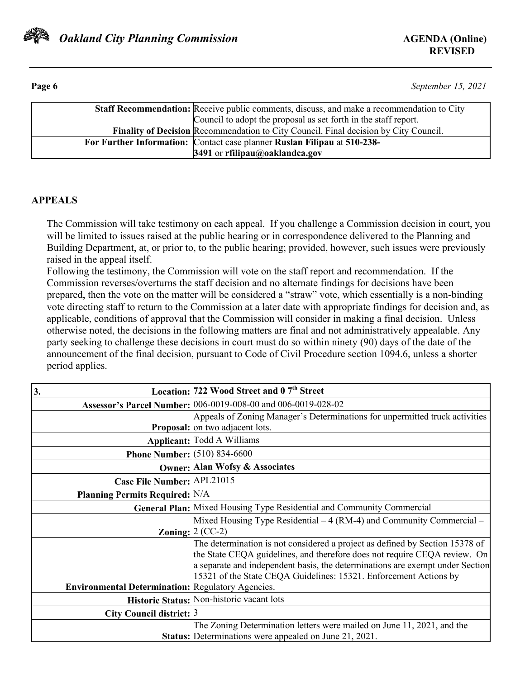

**Page 6** *September 15, 2021*

| <b>Staff Recommendation:</b> Receive public comments, discuss, and make a recommendation to City<br>Council to adopt the proposal as set forth in the staff report. |
|---------------------------------------------------------------------------------------------------------------------------------------------------------------------|
| <b>Finality of Decision Recommendation to City Council.</b> Final decision by City Council.                                                                         |
| For Further Information: Contact case planner Ruslan Filipau at 510-238-                                                                                            |
| 3491 or rfilipau@oaklandca.gov                                                                                                                                      |

## **APPEALS**

The Commission will take testimony on each appeal. If you challenge a Commission decision in court, you will be limited to issues raised at the public hearing or in correspondence delivered to the Planning and Building Department, at, or prior to, to the public hearing; provided, however, such issues were previously raised in the appeal itself.

Following the testimony, the Commission will vote on the staff report and recommendation. If the Commission reverses/overturns the staff decision and no alternate findings for decisions have been prepared, then the vote on the matter will be considered a "straw" vote, which essentially is a non-binding vote directing staff to return to the Commission at a later date with appropriate findings for decision and, as applicable, conditions of approval that the Commission will consider in making a final decision. Unless otherwise noted, the decisions in the following matters are final and not administratively appealable. Any party seeking to challenge these decisions in court must do so within ninety (90) days of the date of the announcement of the final decision, pursuant to Code of Civil Procedure section 1094.6, unless a shorter period applies.

| 3.                                                       | Location: 722 Wood Street and 0 7 <sup>th</sup> Street                        |
|----------------------------------------------------------|-------------------------------------------------------------------------------|
|                                                          | Assessor's Parcel Number: 006-0019-008-00 and 006-0019-028-02                 |
|                                                          | Appeals of Zoning Manager's Determinations for unpermitted truck activities   |
|                                                          | <b>Proposal:</b> on two adjacent lots.                                        |
|                                                          | <b>Applicant: Todd A Williams</b>                                             |
| <b>Phone Number:</b> (510) 834-6600                      |                                                                               |
|                                                          | <b>Owner: Alan Wofsy &amp; Associates</b>                                     |
| Case File Number: APL21015                               |                                                                               |
| <b>Planning Permits Required: N/A</b>                    |                                                                               |
|                                                          | General Plan: Mixed Housing Type Residential and Community Commercial         |
|                                                          | Mixed Housing Type Residential – 4 (RM-4) and Community Commercial –          |
|                                                          | Zoning: $2$ (CC-2)                                                            |
|                                                          | The determination is not considered a project as defined by Section 15378 of  |
|                                                          | the State CEQA guidelines, and therefore does not require CEQA review. On     |
|                                                          | a separate and independent basis, the determinations are exempt under Section |
| <b>Environmental Determination: Regulatory Agencies.</b> | 15321 of the State CEQA Guidelines: 15321. Enforcement Actions by             |
|                                                          |                                                                               |
|                                                          | Historic Status: Non-historic vacant lots                                     |
| City Council district: $\beta$                           |                                                                               |
|                                                          | The Zoning Determination letters were mailed on June 11, 2021, and the        |
|                                                          | Status: Determinations were appealed on June 21, 2021.                        |